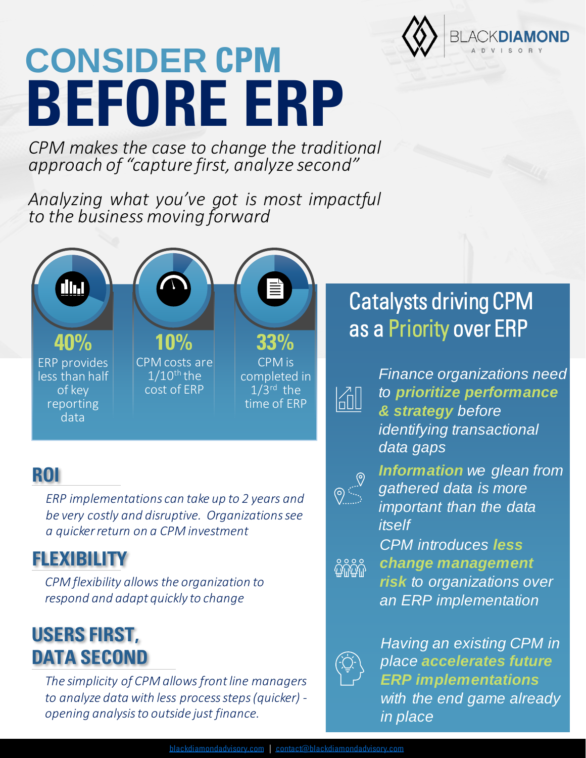

# **CONSIDER CPM BEFORE ERP**

*CPM makes the case to change the traditional approach of "capture first, analyze second"*

*Analyzing what you've got is most impactful to the business moving forward*



#### **ROI**

*ERP implementations can take up to 2 years and be very costly and disruptive. Organizations see a quicker return on a CPM investment*

#### **FLEXIBILITY**

*CPM flexibility allows the organization to respond and adapt quickly to change*

### **USERS FIRST, DATA SECOND**

*The simplicity of CPM allows front line managers to analyze data with less process steps (quicker) opening analysis to outside just finance.*

## Catalysts driving CPM as a Priority over ERP



*Finance organizations need to prioritize performance & strategy before identifying transactional data gaps*



*Information we glean from gathered data is more important than the data itself*

*CPM introduces less change management*   $\frac{2}{9}$ 

*risk to organizations over an ERP implementation*



*Having an existing CPM in place accelerates future ERP implementations with the end game already in place*